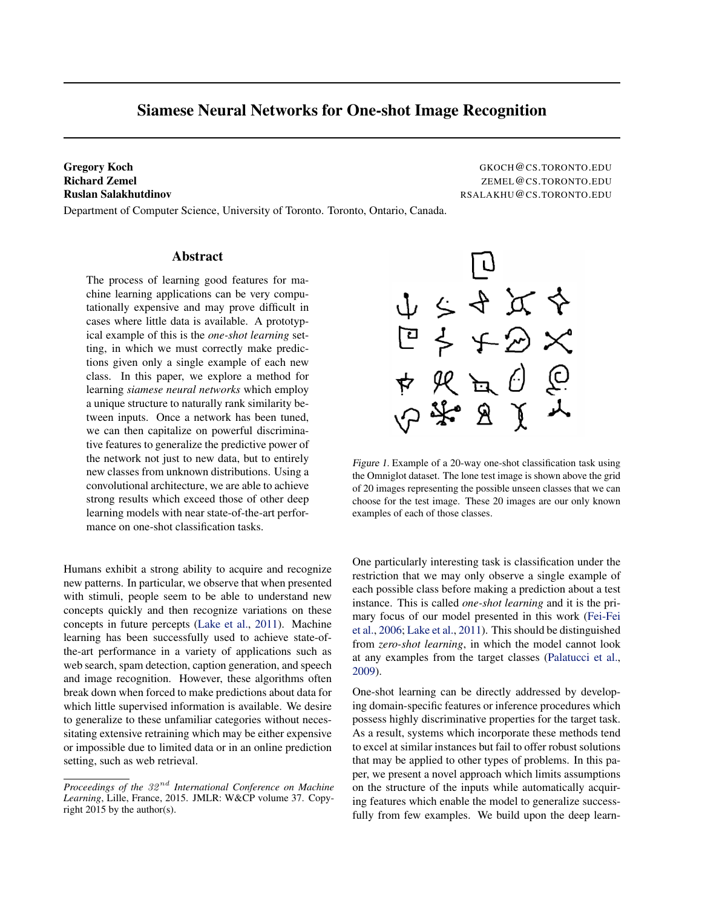# Siamese Neural Networks for One-shot Image Recognition

Department of Computer Science, University of Toronto. Toronto, Ontario, Canada.

Gregory Koch GKOCH@CS.TORONTO.EDU Richard Zemel ZEMEL@CS.TORONTO.EDU Ruslan Salakhutdinov RSALAKHU@CS.TORONTO.EDU

# Abstract

The process of learning good features for machine learning applications can be very computationally expensive and may prove difficult in cases where little data is available. A prototypical example of this is the *one-shot learning* setting, in which we must correctly make predictions given only a single example of each new class. In this paper, we explore a method for learning *siamese neural networks* which employ a unique structure to naturally rank similarity between inputs. Once a network has been tuned, we can then capitalize on powerful discriminative features to generalize the predictive power of the network not just to new data, but to entirely new classes from unknown distributions. Using a convolutional architecture, we are able to achieve strong results which exceed those of other deep learning models with near state-of-the-art performance on one-shot classification tasks.

Humans exhibit a strong ability to acquire and recognize new patterns. In particular, we observe that when presented with stimuli, people seem to be able to understand new concepts quickly and then recognize variations on these concepts in future percepts [\(Lake et al.,](#page-7-0) [2011\)](#page-7-0). Machine learning has been successfully used to achieve state-ofthe-art performance in a variety of applications such as web search, spam detection, caption generation, and speech and image recognition. However, these algorithms often break down when forced to make predictions about data for which little supervised information is available. We desire to generalize to these unfamiliar categories without necessitating extensive retraining which may be either expensive or impossible due to limited data or in an online prediction setting, such as web retrieval.



Figure 1. Example of a 20-way one-shot classification task using the Omniglot dataset. The lone test image is shown above the grid of 20 images representing the possible unseen classes that we can choose for the test image. These 20 images are our only known examples of each of those classes.

One particularly interesting task is classification under the restriction that we may only observe a single example of each possible class before making a prediction about a test instance. This is called *one-shot learning* and it is the primary focus of our model presented in this work [\(Fei-Fei](#page-7-0) [et al.,](#page-7-0) [2006;](#page-7-0) [Lake et al.,](#page-7-0) [2011\)](#page-7-0). This should be distinguished from *zero-shot learning*, in which the model cannot look at any examples from the target classes [\(Palatucci et al.,](#page-7-0) [2009\)](#page-7-0).

One-shot learning can be directly addressed by developing domain-specific features or inference procedures which possess highly discriminative properties for the target task. As a result, systems which incorporate these methods tend to excel at similar instances but fail to offer robust solutions that may be applied to other types of problems. In this paper, we present a novel approach which limits assumptions on the structure of the inputs while automatically acquiring features which enable the model to generalize successfully from few examples. We build upon the deep learn-

*Proceedings of the* 32 nd *International Conference on Machine Learning*, Lille, France, 2015. JMLR: W&CP volume 37. Copyright 2015 by the author(s).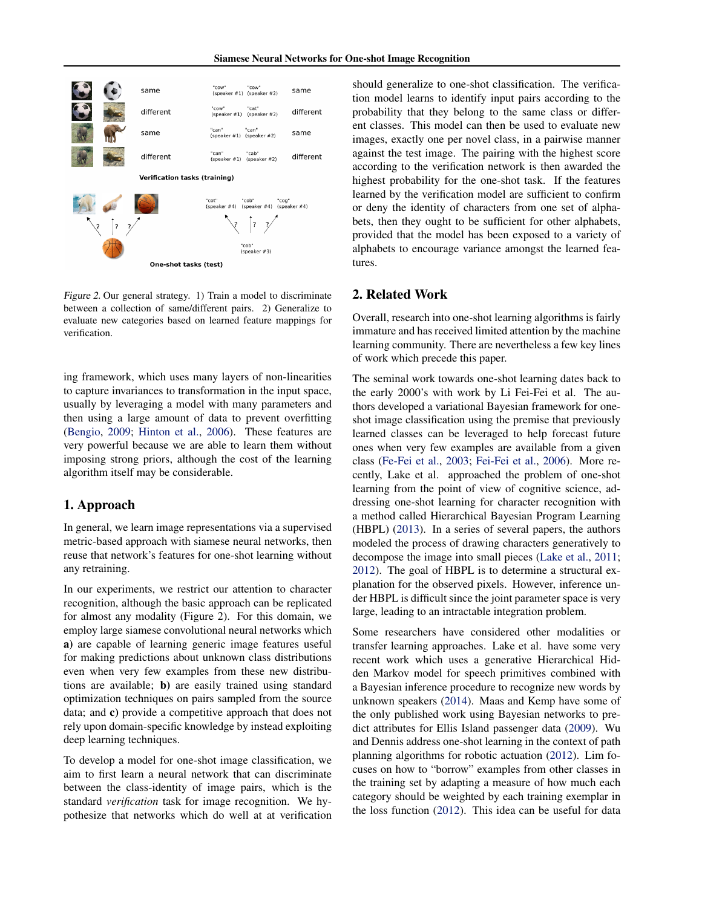

Figure 2. Our general strategy. 1) Train a model to discriminate between a collection of same/different pairs. 2) Generalize to evaluate new categories based on learned feature mappings for

ing framework, which uses many layers of non-linearities to capture invariances to transformation in the input space, usually by leveraging a model with many parameters and then using a large amount of data to prevent overfitting [\(Bengio,](#page-6-0) [2009;](#page-6-0) [Hinton et al.,](#page-7-0) [2006\)](#page-7-0). These features are very powerful because we are able to learn them without imposing strong priors, although the cost of the learning algorithm itself may be considerable.

# 1. Approach

verification.

In general, we learn image representations via a supervised metric-based approach with siamese neural networks, then reuse that network's features for one-shot learning without any retraining.

In our experiments, we restrict our attention to character recognition, although the basic approach can be replicated for almost any modality (Figure 2). For this domain, we employ large siamese convolutional neural networks which a) are capable of learning generic image features useful for making predictions about unknown class distributions even when very few examples from these new distributions are available; b) are easily trained using standard optimization techniques on pairs sampled from the source data; and c) provide a competitive approach that does not rely upon domain-specific knowledge by instead exploiting deep learning techniques.

To develop a model for one-shot image classification, we aim to first learn a neural network that can discriminate between the class-identity of image pairs, which is the standard *verification* task for image recognition. We hypothesize that networks which do well at at verification

should generalize to one-shot classification. The verification model learns to identify input pairs according to the probability that they belong to the same class or different classes. This model can then be used to evaluate new images, exactly one per novel class, in a pairwise manner against the test image. The pairing with the highest score according to the verification network is then awarded the highest probability for the one-shot task. If the features learned by the verification model are sufficient to confirm or deny the identity of characters from one set of alphabets, then they ought to be sufficient for other alphabets, provided that the model has been exposed to a variety of alphabets to encourage variance amongst the learned features.

# 2. Related Work

Overall, research into one-shot learning algorithms is fairly immature and has received limited attention by the machine learning community. There are nevertheless a few key lines of work which precede this paper.

The seminal work towards one-shot learning dates back to the early 2000's with work by Li Fei-Fei et al. The authors developed a variational Bayesian framework for oneshot image classification using the premise that previously learned classes can be leveraged to help forecast future ones when very few examples are available from a given class [\(Fe-Fei et al.,](#page-7-0) [2003;](#page-7-0) [Fei-Fei et al.,](#page-7-0) [2006\)](#page-7-0). More recently, Lake et al. approached the problem of one-shot learning from the point of view of cognitive science, addressing one-shot learning for character recognition with a method called Hierarchical Bayesian Program Learning (HBPL) [\(2013\)](#page-7-0). In a series of several papers, the authors modeled the process of drawing characters generatively to decompose the image into small pieces [\(Lake et al.,](#page-7-0) [2011;](#page-7-0) [2012\)](#page-7-0). The goal of HBPL is to determine a structural explanation for the observed pixels. However, inference under HBPL is difficult since the joint parameter space is very large, leading to an intractable integration problem.

Some researchers have considered other modalities or transfer learning approaches. Lake et al. have some very recent work which uses a generative Hierarchical Hidden Markov model for speech primitives combined with a Bayesian inference procedure to recognize new words by unknown speakers [\(2014\)](#page-7-0). Maas and Kemp have some of the only published work using Bayesian networks to predict attributes for Ellis Island passenger data [\(2009\)](#page-7-0). Wu and Dennis address one-shot learning in the context of path planning algorithms for robotic actuation [\(2012\)](#page-7-0). Lim focuses on how to "borrow" examples from other classes in the training set by adapting a measure of how much each category should be weighted by each training exemplar in the loss function [\(2012\)](#page-7-0). This idea can be useful for data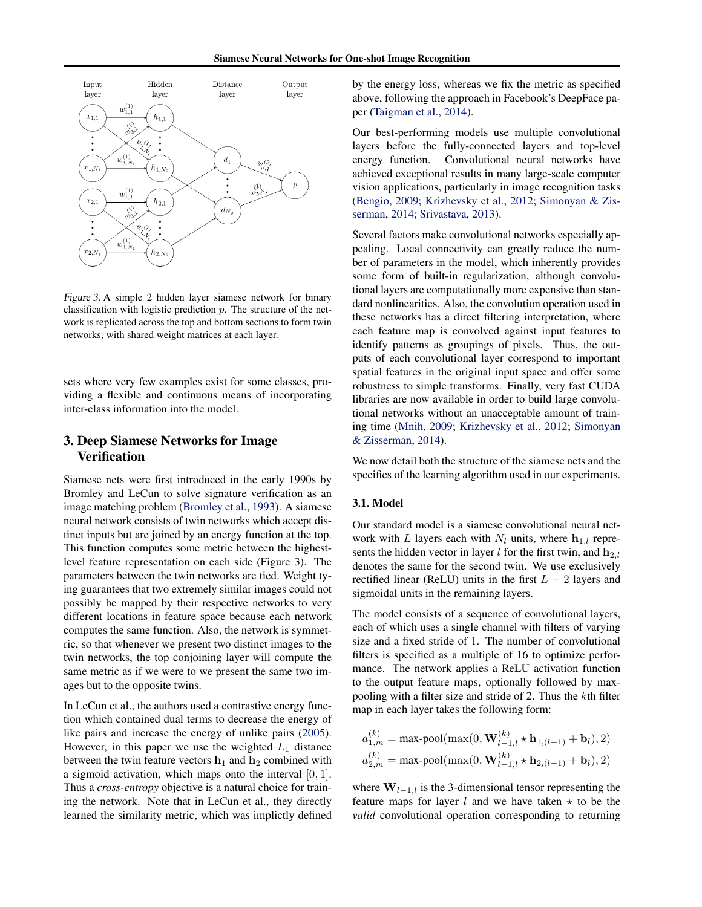

Figure 3. A simple 2 hidden layer siamese network for binary classification with logistic prediction  $p$ . The structure of the network is replicated across the top and bottom sections to form twin networks, with shared weight matrices at each layer.

sets where very few examples exist for some classes, providing a flexible and continuous means of incorporating inter-class information into the model.

# 3. Deep Siamese Networks for Image Verification

Siamese nets were first introduced in the early 1990s by Bromley and LeCun to solve signature verification as an image matching problem [\(Bromley et al.,](#page-6-0) [1993\)](#page-6-0). A siamese neural network consists of twin networks which accept distinct inputs but are joined by an energy function at the top. This function computes some metric between the highestlevel feature representation on each side (Figure 3). The parameters between the twin networks are tied. Weight tying guarantees that two extremely similar images could not possibly be mapped by their respective networks to very different locations in feature space because each network computes the same function. Also, the network is symmetric, so that whenever we present two distinct images to the twin networks, the top conjoining layer will compute the same metric as if we were to we present the same two images but to the opposite twins.

In LeCun et al., the authors used a contrastive energy function which contained dual terms to decrease the energy of like pairs and increase the energy of unlike pairs [\(2005\)](#page-6-0). However, in this paper we use the weighted  $L_1$  distance between the twin feature vectors  $h_1$  and  $h_2$  combined with a sigmoid activation, which maps onto the interval [0, 1]. Thus a *cross-entropy* objective is a natural choice for training the network. Note that in LeCun et al., they directly learned the similarity metric, which was implictly defined by the energy loss, whereas we fix the metric as specified above, following the approach in Facebook's DeepFace paper [\(Taigman et al.,](#page-7-0) [2014\)](#page-7-0).

Our best-performing models use multiple convolutional layers before the fully-connected layers and top-level energy function. Convolutional neural networks have achieved exceptional results in many large-scale computer vision applications, particularly in image recognition tasks [\(Bengio,](#page-6-0) [2009;](#page-6-0) [Krizhevsky et al.,](#page-7-0) [2012;](#page-7-0) [Simonyan & Zis](#page-7-0)[serman,](#page-7-0) [2014;](#page-7-0) [Srivastava,](#page-7-0) [2013\)](#page-7-0).

Several factors make convolutional networks especially appealing. Local connectivity can greatly reduce the number of parameters in the model, which inherently provides some form of built-in regularization, although convolutional layers are computationally more expensive than standard nonlinearities. Also, the convolution operation used in these networks has a direct filtering interpretation, where each feature map is convolved against input features to identify patterns as groupings of pixels. Thus, the outputs of each convolutional layer correspond to important spatial features in the original input space and offer some robustness to simple transforms. Finally, very fast CUDA libraries are now available in order to build large convolutional networks without an unacceptable amount of training time [\(Mnih,](#page-7-0) [2009;](#page-7-0) [Krizhevsky et al.,](#page-7-0) [2012;](#page-7-0) [Simonyan](#page-7-0) [& Zisserman,](#page-7-0) [2014\)](#page-7-0).

We now detail both the structure of the siamese nets and the specifics of the learning algorithm used in our experiments.

### 3.1. Model

Our standard model is a siamese convolutional neural network with L layers each with  $N_l$  units, where  $\mathbf{h}_{1,l}$  represents the hidden vector in layer l for the first twin, and  $h_{2,l}$ denotes the same for the second twin. We use exclusively rectified linear (ReLU) units in the first  $L - 2$  layers and sigmoidal units in the remaining layers.

The model consists of a sequence of convolutional layers, each of which uses a single channel with filters of varying size and a fixed stride of 1. The number of convolutional filters is specified as a multiple of 16 to optimize performance. The network applies a ReLU activation function to the output feature maps, optionally followed by maxpooling with a filter size and stride of 2. Thus the kth filter map in each layer takes the following form:

$$
a_{1,m}^{(k)} = \max \text{-pool}(\max(0, \mathbf{W}_{l-1,l}^{(k)} \star \mathbf{h}_{1,(l-1)} + \mathbf{b}_l), 2)
$$

$$
a_{2,m}^{(k)} = \max \text{-pool}(\max(0, \mathbf{W}_{l-1,l}^{(k)} \star \mathbf{h}_{2,(l-1)} + \mathbf{b}_l), 2)
$$

where  $W_{l-1,l}$  is the 3-dimensional tensor representing the feature maps for layer l and we have taken  $\star$  to be the *valid* convolutional operation corresponding to returning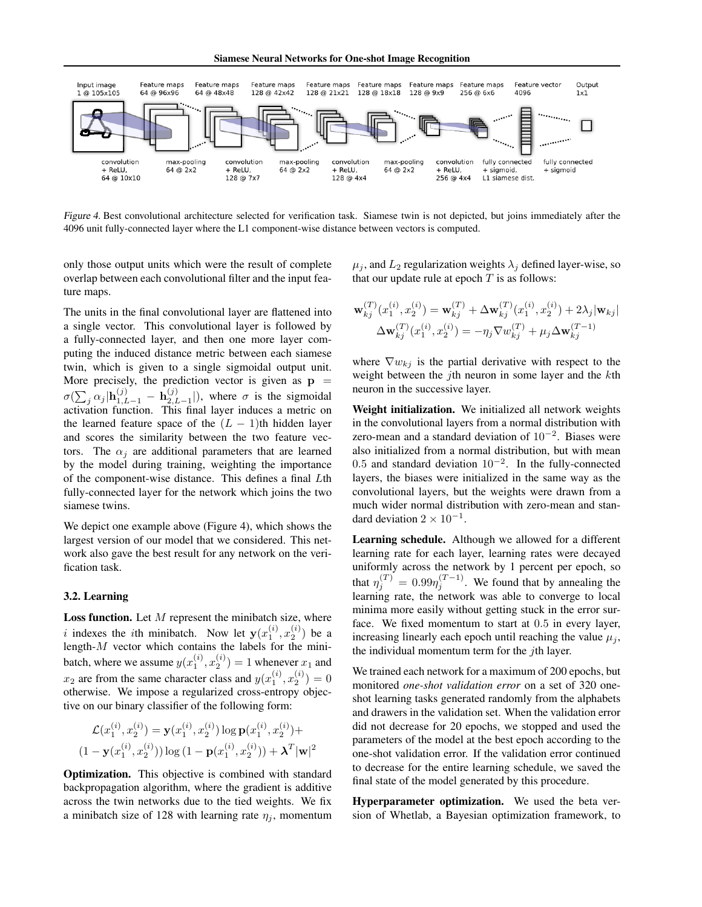Siamese Neural Networks for One-shot Image Recognition



Figure 4. Best convolutional architecture selected for verification task. Siamese twin is not depicted, but joins immediately after the 4096 unit fully-connected layer where the L1 component-wise distance between vectors is computed.

only those output units which were the result of complete overlap between each convolutional filter and the input feature maps.

The units in the final convolutional layer are flattened into a single vector. This convolutional layer is followed by a fully-connected layer, and then one more layer computing the induced distance metric between each siamese twin, which is given to a single sigmoidal output unit. More precisely, the prediction vector is given as  $p =$  $\sigma(\sum_j \alpha_j | \mathbf{h}_{1,L-1}^{(j)} ~-~ \mathbf{h}_{2,L}^{(j)}$  $_{2,L-1}^{(j)}$ ), where  $\sigma$  is the sigmoidal activation function. This final layer induces a metric on the learned feature space of the  $(L - 1)$ th hidden layer and scores the similarity between the two feature vectors. The  $\alpha_i$  are additional parameters that are learned by the model during training, weighting the importance of the component-wise distance. This defines a final Lth fully-connected layer for the network which joins the two siamese twins.

We depict one example above (Figure 4), which shows the largest version of our model that we considered. This network also gave the best result for any network on the verification task.

# 3.2. Learning

Loss function. Let  $M$  represent the minibatch size, where i indexes the ith minibatch. Now let  $y(x_1^{(i)}, x_2^{(i)})$  be a length- $M$  vector which contains the labels for the minibatch, where we assume  $y(x_1^{(i)}, x_2^{(i)}) = 1$  whenever  $x_1$  and  $x_2$  are from the same character class and  $y(x_1^{(i)}, x_2^{(i)}) = 0$ otherwise. We impose a regularized cross-entropy objective on our binary classifier of the following form:

$$
\mathcal{L}(x_1^{(i)}, x_2^{(i)}) = \mathbf{y}(x_1^{(i)}, x_2^{(i)}) \log \mathbf{p}(x_1^{(i)}, x_2^{(i)}) +
$$
  

$$
(1 - \mathbf{y}(x_1^{(i)}, x_2^{(i)})) \log (1 - \mathbf{p}(x_1^{(i)}, x_2^{(i)})) + \lambda^T |\mathbf{w}|^2
$$

Optimization. This objective is combined with standard backpropagation algorithm, where the gradient is additive across the twin networks due to the tied weights. We fix a minibatch size of 128 with learning rate  $\eta_i$ , momentum

 $\mu_j$ , and  $L_2$  regularization weights  $\lambda_j$  defined layer-wise, so that our update rule at epoch  $T$  is as follows:

$$
\mathbf{w}_{kj}^{(T)}(x_1^{(i)}, x_2^{(i)}) = \mathbf{w}_{kj}^{(T)} + \Delta \mathbf{w}_{kj}^{(T)}(x_1^{(i)}, x_2^{(i)}) + 2\lambda_j |\mathbf{w}_{kj}|
$$
  

$$
\Delta \mathbf{w}_{kj}^{(T)}(x_1^{(i)}, x_2^{(i)}) = -\eta_j \nabla w_{kj}^{(T)} + \mu_j \Delta \mathbf{w}_{kj}^{(T-1)}
$$

where  $\nabla w_{ki}$  is the partial derivative with respect to the weight between the *j*th neuron in some layer and the  $k$ th neuron in the successive layer.

Weight initialization. We initialized all network weights in the convolutional layers from a normal distribution with zero-mean and a standard deviation of  $10^{-2}$ . Biases were also initialized from a normal distribution, but with mean 0.5 and standard deviation  $10^{-2}$ . In the fully-connected layers, the biases were initialized in the same way as the convolutional layers, but the weights were drawn from a much wider normal distribution with zero-mean and standard deviation  $2 \times 10^{-1}$ .

Learning schedule. Although we allowed for a different learning rate for each layer, learning rates were decayed uniformly across the network by 1 percent per epoch, so that  $\eta_j^{(T)} = 0.99 \eta_j^{(T-1)}$ . We found that by annealing the learning rate, the network was able to converge to local minima more easily without getting stuck in the error surface. We fixed momentum to start at 0.5 in every layer, increasing linearly each epoch until reaching the value  $\mu_i$ , the individual momentum term for the  $j$ th layer.

We trained each network for a maximum of 200 epochs, but monitored *one-shot validation error* on a set of 320 oneshot learning tasks generated randomly from the alphabets and drawers in the validation set. When the validation error did not decrease for 20 epochs, we stopped and used the parameters of the model at the best epoch according to the one-shot validation error. If the validation error continued to decrease for the entire learning schedule, we saved the final state of the model generated by this procedure.

Hyperparameter optimization. We used the beta version of Whetlab, a Bayesian optimization framework, to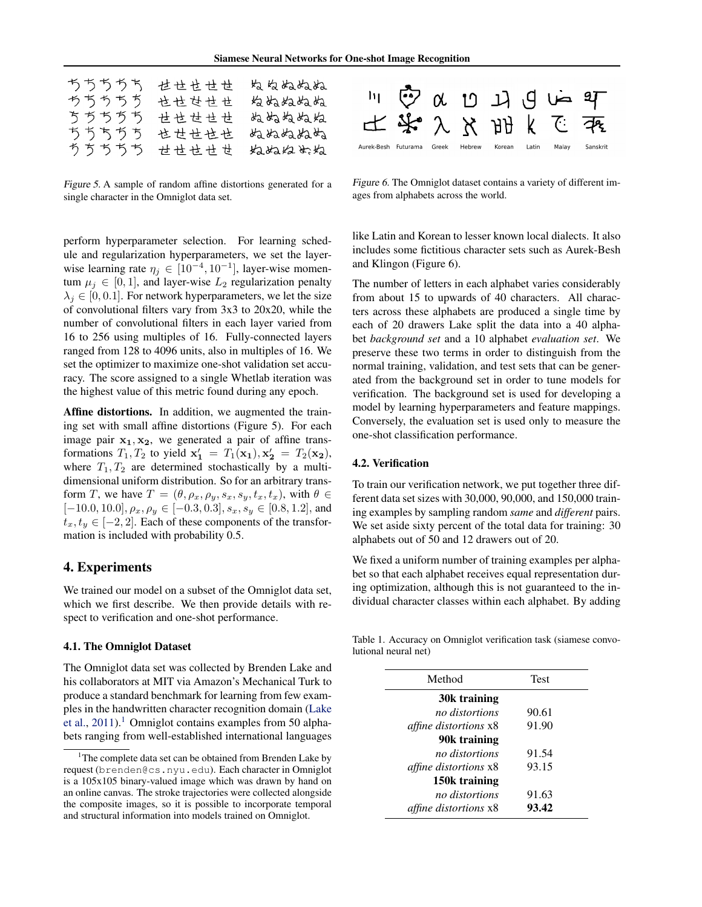| ちちちちち | せせせせせ | ぬ ぬぬぬね |
|-------|-------|--------|
| ちちちちち | 也せせせせ | ぬぬぬぬぬぬ |
| ちちちちち | せせせせせ | ぬぬねぬぬ  |
| ちちちちち | 也せせせせ | ぬぬぬねぬぬ |
| ちちちちち | 世世せ世世 | ねねねめね  |

Figure 5. A sample of random affine distortions generated for a single character in the Omniglot data set.



Figure 6. The Omniglot dataset contains a variety of different images from alphabets across the world.

perform hyperparameter selection. For learning schedule and regularization hyperparameters, we set the layerwise learning rate  $\eta_j \in [10^{-4}, 10^{-1}]$ , layer-wise momentum  $\mu_j \in [0, 1]$ , and layer-wise  $L_2$  regularization penalty  $\lambda_j \in [0, 0.1]$ . For network hyperparameters, we let the size of convolutional filters vary from 3x3 to 20x20, while the number of convolutional filters in each layer varied from 16 to 256 using multiples of 16. Fully-connected layers ranged from 128 to 4096 units, also in multiples of 16. We set the optimizer to maximize one-shot validation set accuracy. The score assigned to a single Whetlab iteration was the highest value of this metric found during any epoch.

Affine distortions. In addition, we augmented the training set with small affine distortions (Figure 5). For each image pair  $x_1, x_2$ , we generated a pair of affine transformations  $T_1, T_2$  to yield  $\mathbf{x'_1} = T_1(\mathbf{x_1}), \mathbf{x'_2} = T_2(\mathbf{x_2}),$ where  $T_1, T_2$  are determined stochastically by a multidimensional uniform distribution. So for an arbitrary transform T, we have  $T = (\theta, \rho_x, \rho_y, s_x, s_y, t_x, t_x)$ , with  $\theta \in$  $[-10.0, 10.0], \rho_x, \rho_y \in [-0.3, 0.3], s_x, s_y \in [0.8, 1.2],$  and  $t_x, t_y \in [-2, 2]$ . Each of these components of the transformation is included with probability 0.5.

# 4. Experiments

We trained our model on a subset of the Omniglot data set, which we first describe. We then provide details with respect to verification and one-shot performance.

#### 4.1. The Omniglot Dataset

The Omniglot data set was collected by Brenden Lake and his collaborators at MIT via Amazon's Mechanical Turk to produce a standard benchmark for learning from few examples in the handwritten character recognition domain [\(Lake](#page-7-0) [et al.,](#page-7-0)  $2011$ .<sup>1</sup> Omniglot contains examples from 50 alphabets ranging from well-established international languages like Latin and Korean to lesser known local dialects. It also includes some fictitious character sets such as Aurek-Besh and Klingon (Figure 6).

The number of letters in each alphabet varies considerably from about 15 to upwards of 40 characters. All characters across these alphabets are produced a single time by each of 20 drawers Lake split the data into a 40 alphabet *background set* and a 10 alphabet *evaluation set*. We preserve these two terms in order to distinguish from the normal training, validation, and test sets that can be generated from the background set in order to tune models for verification. The background set is used for developing a model by learning hyperparameters and feature mappings. Conversely, the evaluation set is used only to measure the one-shot classification performance.

#### 4.2. Verification

To train our verification network, we put together three different data set sizes with 30,000, 90,000, and 150,000 training examples by sampling random *same* and *different* pairs. We set aside sixty percent of the total data for training: 30 alphabets out of 50 and 12 drawers out of 20.

We fixed a uniform number of training examples per alphabet so that each alphabet receives equal representation during optimization, although this is not guaranteed to the individual character classes within each alphabet. By adding

Table 1. Accuracy on Omniglot verification task (siamese convolutional neural net)

| Method                       | <b>Test</b> |
|------------------------------|-------------|
| 30k training                 |             |
| no distortions               | 90.61       |
| <i>affine distortions</i> x8 | 91.90       |
| 90k training                 |             |
| no distortions               | 91.54       |
| <i>affine distortions</i> x8 | 93.15       |
| 150k training                |             |
| no distortions               | 91.63       |
| <i>affine distortions</i> x8 | 93.42       |
|                              |             |

<sup>&</sup>lt;sup>1</sup>The complete data set can be obtained from Brenden Lake by request (brenden@cs.nyu.edu). Each character in Omniglot is a 105x105 binary-valued image which was drawn by hand on an online canvas. The stroke trajectories were collected alongside the composite images, so it is possible to incorporate temporal and structural information into models trained on Omniglot.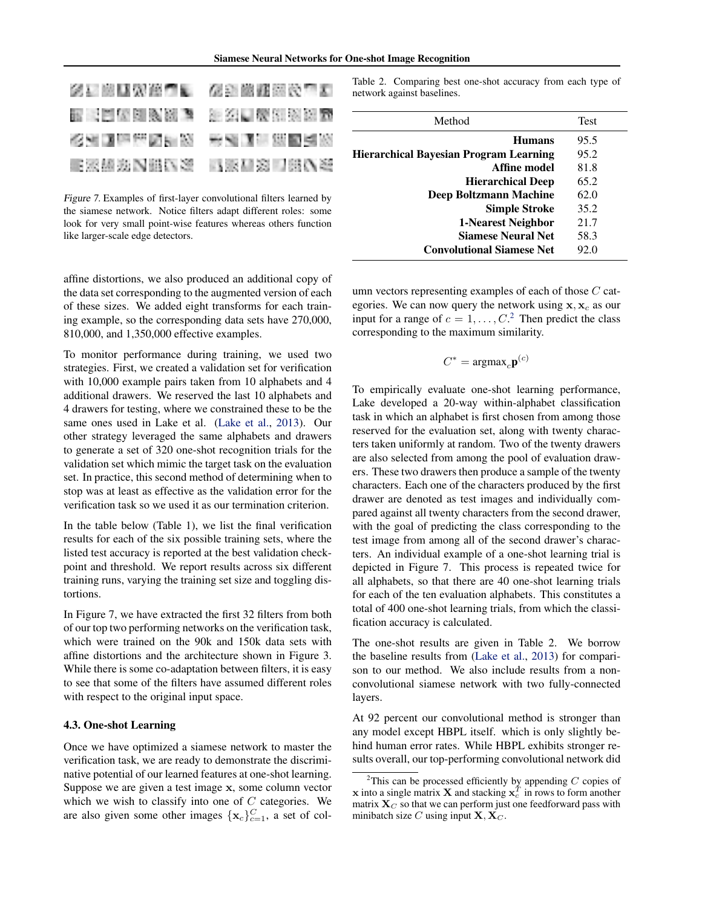| 医三脑膜炎细胞 人名西葡俄阿尔巴   |  |
|--------------------|--|
| 医同血压闭塞器 建二氯苯甲酰胆酸盐酯 |  |
| 化油酸医油酸医热 医难测性细胞瘤   |  |
| 电密码逆风阻压器 电影看窗口部优秀  |  |

Figure 7. Examples of first-layer convolutional filters learned by the siamese network. Notice filters adapt different roles: some look for very small point-wise features whereas others function like larger-scale edge detectors.

affine distortions, we also produced an additional copy of the data set corresponding to the augmented version of each of these sizes. We added eight transforms for each training example, so the corresponding data sets have 270,000, 810,000, and 1,350,000 effective examples.

To monitor performance during training, we used two strategies. First, we created a validation set for verification with 10,000 example pairs taken from 10 alphabets and 4 additional drawers. We reserved the last 10 alphabets and 4 drawers for testing, where we constrained these to be the same ones used in Lake et al. [\(Lake et al.,](#page-7-0) [2013\)](#page-7-0). Our other strategy leveraged the same alphabets and drawers to generate a set of 320 one-shot recognition trials for the validation set which mimic the target task on the evaluation set. In practice, this second method of determining when to stop was at least as effective as the validation error for the verification task so we used it as our termination criterion.

In the table below (Table 1), we list the final verification results for each of the six possible training sets, where the listed test accuracy is reported at the best validation checkpoint and threshold. We report results across six different training runs, varying the training set size and toggling distortions.

In Figure 7, we have extracted the first 32 filters from both of our top two performing networks on the verification task, which were trained on the 90k and 150k data sets with affine distortions and the architecture shown in Figure 3. While there is some co-adaptation between filters, it is easy to see that some of the filters have assumed different roles with respect to the original input space.

#### 4.3. One-shot Learning

Once we have optimized a siamese network to master the verification task, we are ready to demonstrate the discriminative potential of our learned features at one-shot learning. Suppose we are given a test image x, some column vector which we wish to classify into one of  $C$  categories. We are also given some other images  $\{x_c\}_{c=1}^C$ , a set of colTable 2. Comparing best one-shot accuracy from each type of network against baselines.

| Method                                        | <b>Test</b> |
|-----------------------------------------------|-------------|
| <b>Humans</b>                                 | 95.5        |
| <b>Hierarchical Bayesian Program Learning</b> | 95.2        |
| Affine model                                  | 81.8        |
| <b>Hierarchical Deep</b>                      | 65.2        |
| Deep Boltzmann Machine                        | 62.0        |
| <b>Simple Stroke</b>                          | 35.2        |
| 1-Nearest Neighbor                            | 21.7        |
| <b>Siamese Neural Net</b>                     | 58.3        |
| <b>Convolutional Siamese Net</b>              | 92.0        |

umn vectors representing examples of each of those  $C$  categories. We can now query the network using  $x, x_c$  as our input for a range of  $c = 1, \ldots, C$ .<sup>2</sup> Then predict the class corresponding to the maximum similarity.

$$
C^* = \text{argmax}_c \mathbf{p}^{(c)}
$$

To empirically evaluate one-shot learning performance, Lake developed a 20-way within-alphabet classification task in which an alphabet is first chosen from among those reserved for the evaluation set, along with twenty characters taken uniformly at random. Two of the twenty drawers are also selected from among the pool of evaluation drawers. These two drawers then produce a sample of the twenty characters. Each one of the characters produced by the first drawer are denoted as test images and individually compared against all twenty characters from the second drawer, with the goal of predicting the class corresponding to the test image from among all of the second drawer's characters. An individual example of a one-shot learning trial is depicted in Figure 7. This process is repeated twice for all alphabets, so that there are 40 one-shot learning trials for each of the ten evaluation alphabets. This constitutes a total of 400 one-shot learning trials, from which the classification accuracy is calculated.

The one-shot results are given in Table 2. We borrow the baseline results from [\(Lake et al.,](#page-7-0) [2013\)](#page-7-0) for comparison to our method. We also include results from a nonconvolutional siamese network with two fully-connected layers.

At 92 percent our convolutional method is stronger than any model except HBPL itself. which is only slightly behind human error rates. While HBPL exhibits stronger results overall, our top-performing convolutional network did

<sup>&</sup>lt;sup>2</sup>This can be processed efficiently by appending  $C$  copies of **x** into a single matrix **X** and stacking  $\mathbf{x}_c^T$  in rows to form another matrix  $X_C$  so that we can perform just one feedforward pass with minibatch size C using input  $X, X_C$ .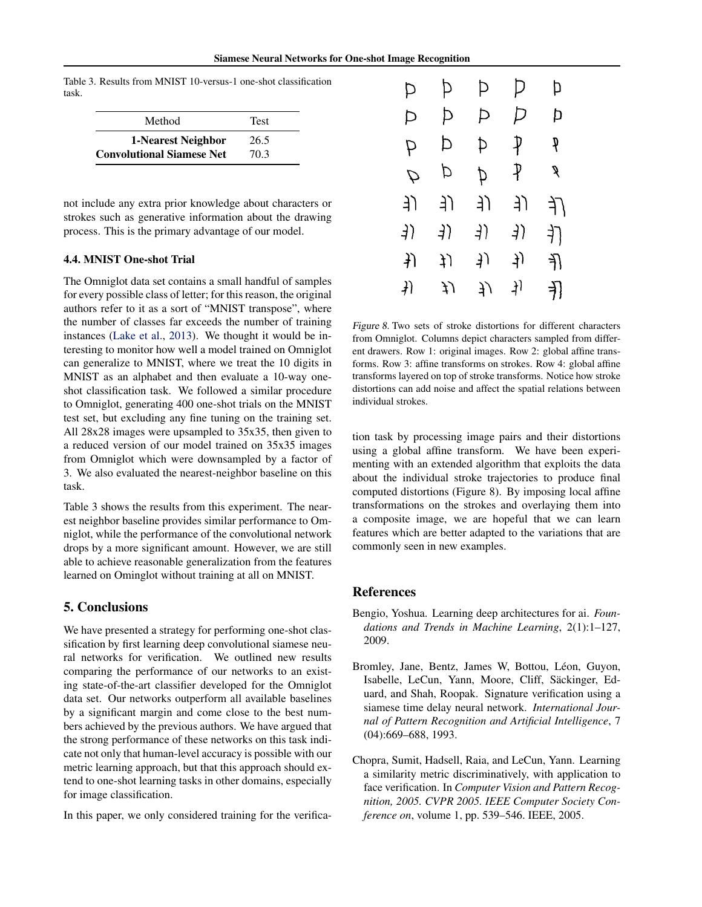<span id="page-6-0"></span>Table 3. Results from MNIST 10-versus-1 one-shot classification task.

| Method                           | <b>Test</b> |
|----------------------------------|-------------|
| 1-Nearest Neighbor               | 26.5        |
| <b>Convolutional Siamese Net</b> | 70.3        |

not include any extra prior knowledge about characters or strokes such as generative information about the drawing process. This is the primary advantage of our model.

#### 4.4. MNIST One-shot Trial

The Omniglot data set contains a small handful of samples for every possible class of letter; for this reason, the original authors refer to it as a sort of "MNIST transpose", where the number of classes far exceeds the number of training instances [\(Lake et al.,](#page-7-0) [2013\)](#page-7-0). We thought it would be interesting to monitor how well a model trained on Omniglot can generalize to MNIST, where we treat the 10 digits in MNIST as an alphabet and then evaluate a 10-way oneshot classification task. We followed a similar procedure to Omniglot, generating 400 one-shot trials on the MNIST test set, but excluding any fine tuning on the training set. All 28x28 images were upsampled to 35x35, then given to a reduced version of our model trained on 35x35 images from Omniglot which were downsampled by a factor of 3. We also evaluated the nearest-neighbor baseline on this task.

Table 3 shows the results from this experiment. The nearest neighbor baseline provides similar performance to Omniglot, while the performance of the convolutional network drops by a more significant amount. However, we are still able to achieve reasonable generalization from the features learned on Ominglot without training at all on MNIST.

# 5. Conclusions

We have presented a strategy for performing one-shot classification by first learning deep convolutional siamese neural networks for verification. We outlined new results comparing the performance of our networks to an existing state-of-the-art classifier developed for the Omniglot data set. Our networks outperform all available baselines by a significant margin and come close to the best numbers achieved by the previous authors. We have argued that the strong performance of these networks on this task indicate not only that human-level accuracy is possible with our metric learning approach, but that this approach should extend to one-shot learning tasks in other domains, especially for image classification.

In this paper, we only considered training for the verifica-

| Þ             | Þ  | Þ   | Þ  | Þ   |
|---------------|----|-----|----|-----|
| Þ             | Þ  | P   | Þ  | Þ   |
| P             | Þ  | ⊅   | ₽  | q   |
| $\mathcal{D}$ | Þ  | þ   | ₽  | g   |
| 亅             | り  | 亅   | り  | ſf  |
| 3)            | 3) | ने) | 4) | 打   |
| $\downarrow$  | ţ) | り   | 丿  | 孔   |
| $\{+\}$       | ĮJ | J)  | 丬  | ने] |

Figure 8. Two sets of stroke distortions for different characters from Omniglot. Columns depict characters sampled from different drawers. Row 1: original images. Row 2: global affine transforms. Row 3: affine transforms on strokes. Row 4: global affine transforms layered on top of stroke transforms. Notice how stroke distortions can add noise and affect the spatial relations between individual strokes.

tion task by processing image pairs and their distortions using a global affine transform. We have been experimenting with an extended algorithm that exploits the data about the individual stroke trajectories to produce final computed distortions (Figure 8). By imposing local affine transformations on the strokes and overlaying them into a composite image, we are hopeful that we can learn features which are better adapted to the variations that are commonly seen in new examples.

# References

- Bengio, Yoshua. Learning deep architectures for ai. *Foundations and Trends in Machine Learning*, 2(1):1–127, 2009.
- Bromley, Jane, Bentz, James W, Bottou, Léon, Guyon, Isabelle, LeCun, Yann, Moore, Cliff, Sackinger, Ed- ¨ uard, and Shah, Roopak. Signature verification using a siamese time delay neural network. *International Journal of Pattern Recognition and Artificial Intelligence*, 7 (04):669–688, 1993.
- Chopra, Sumit, Hadsell, Raia, and LeCun, Yann. Learning a similarity metric discriminatively, with application to face verification. In *Computer Vision and Pattern Recognition, 2005. CVPR 2005. IEEE Computer Society Conference on*, volume 1, pp. 539–546. IEEE, 2005.